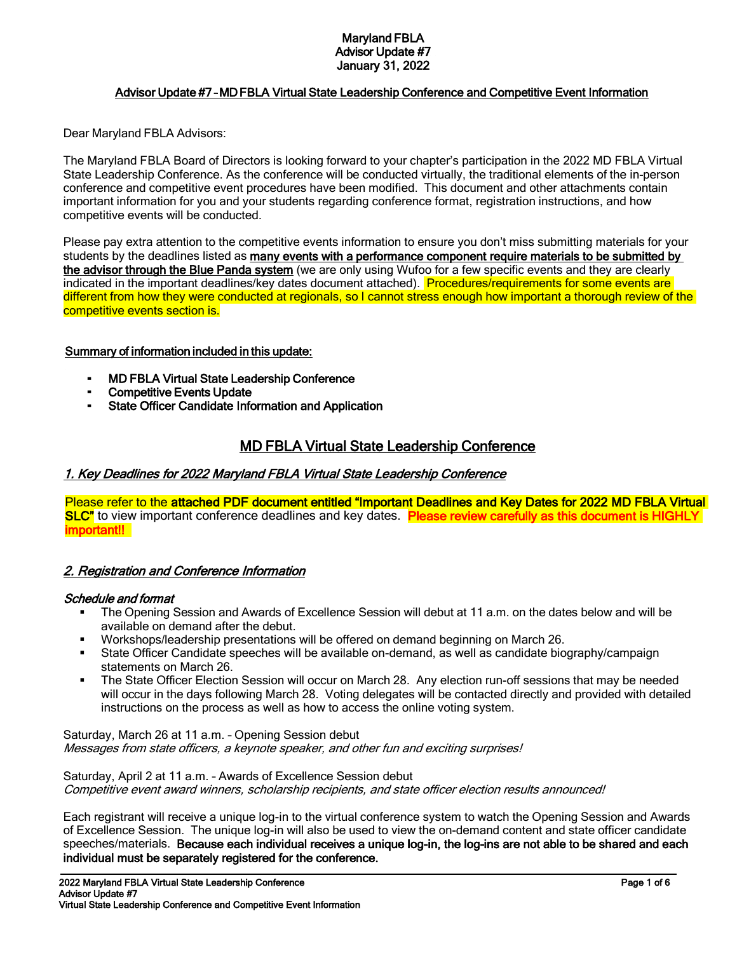#### Maryland FBLA Advisor Update #7 January 31, 2022

### Advisor Update #7 – MD FBLA Virtual State Leadership Conference and Competitive Event Information

Dear Maryland FBLA Advisors:

The Maryland FBLA Board of Directors is looking forward to your chapter's participation in the 2022 MD FBLA Virtual State Leadership Conference. As the conference will be conducted virtually, the traditional elements of the in-person conference and competitive event procedures have been modified. This document and other attachments contain important information for you and your students regarding conference format, registration instructions, and how competitive events will be conducted.

Please pay extra attention to the competitive events information to ensure you don't miss submitting materials for your students by the deadlines listed as many events with a performance component require materials to be submitted by the advisor through the Blue Panda system (we are only using Wufoo for a few specific events and they are clearly indicated in the important deadlines/key dates document attached). Procedures/requirements for some events are different from how they were conducted at regionals, so I cannot stress enough how important a thorough review of the competitive events section is.

#### Summary of information included in this update:

- **MD FBLA Virtual State Leadership Conference**
- **Competitive Events Update**
- **State Officer Candidate Information and Application**

## MD FBLA Virtual State Leadership Conference

#### 1. Key Deadlines for 2022 Maryland FBLA Virtual State Leadership Conference

Please refer to the attached PDF document entitled "Important Deadlines and Key Dates for 2022 MD FBLA Virtual SLC" to view important conference deadlines and key dates. Please review carefully as this document is HIGHLY important!!

### 2. Registration and Conference Information

#### Schedule and format

 $\ddot{\phantom{0}}$ 

- The Opening Session and Awards of Excellence Session will debut at 11 a.m. on the dates below and will be available on demand after the debut.
- Workshops/leadership presentations will be offered on demand beginning on March 26.
- State Officer Candidate speeches will be available on-demand, as well as candidate biography/campaign statements on March 26.
- The State Officer Election Session will occur on March 28. Any election run-off sessions that may be needed will occur in the days following March 28. Voting delegates will be contacted directly and provided with detailed instructions on the process as well as how to access the online voting system.

Saturday, March 26 at 11 a.m. – Opening Session debut Messages from state officers, a keynote speaker, and other fun and exciting surprises!

Saturday, April 2 at 11 a.m. – Awards of Excellence Session debut Competitive event award winners, scholarship recipients, and state officer election results announced!

Each registrant will receive a unique log-in to the virtual conference system to watch the Opening Session and Awards of Excellence Session. The unique log-in will also be used to view the on-demand content and state officer candidate speeches/materials. Because each individual receives a unique log-in, the log-ins are not able to be shared and each individual must be separately registered for the conference.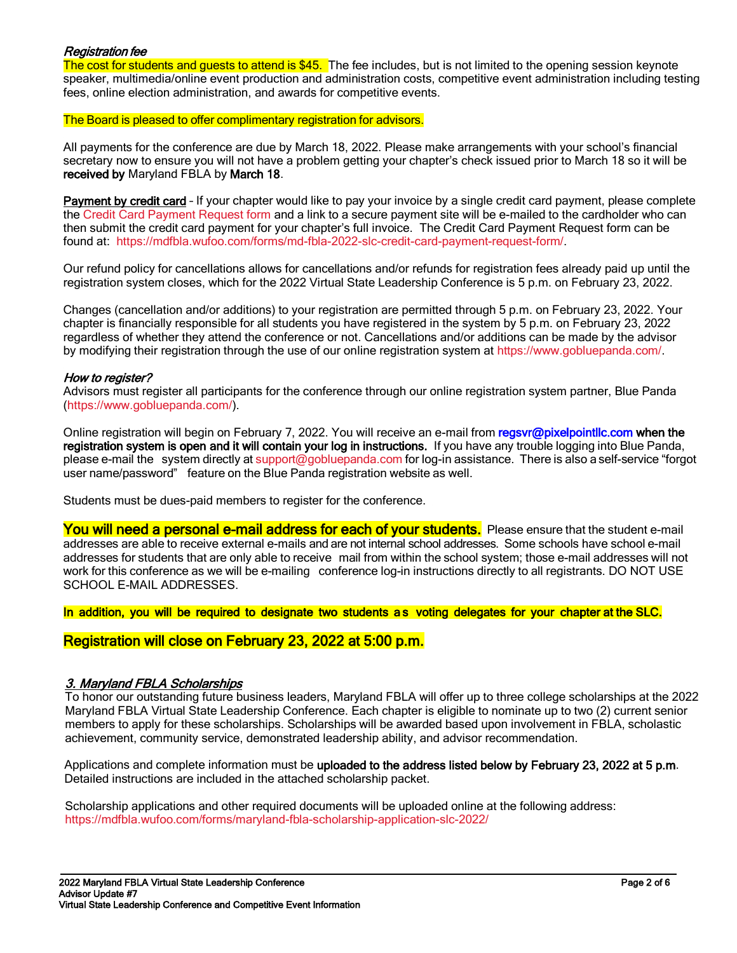#### Registration fee

The cost for students and quests to attend is \$45. The fee includes, but is not limited to the opening session keynote speaker, multimedia/online event production and administration costs, competitive event administration including testing fees, online election administration, and awards for competitive events.

#### The Board is pleased to offer complimentary registration for advisors.

All payments for the conference are due by March 18, 2022. Please make arrangements with your school's financial secretary now to ensure you will not have a problem getting your chapter's check issued prior to March 18 so it will be received by Maryland FBLA by March 18.

Payment by credit card - If your chapter would like to pay your invoice by a single credit card payment, please complete the [Credit Card Payment Request form](https://mdfbla.wufoo.com/forms/md-fbla-2022-slc-credit-card-payment-request-form/) and a link to a secure payment site will be e-mailed to the cardholder who can then submit the credit card payment for your chapter's full invoice. The Credit Card Payment Request form can be found at: [https://mdfbla.wufoo.com/forms/md-fbla-2022-slc-credit-card-payment-request-form/.](https://mdfbla.wufoo.com/forms/md-fbla-2022-slc-credit-card-payment-request-form/)

Our refund policy for cancellations allows for cancellations and/or refunds for registration fees already paid up until the registration system closes, which for the 2022 Virtual State Leadership Conference is 5 p.m. on February 23, 2022.

Changes (cancellation and/or additions) to your registration are permitted through 5 p.m. on February 23, 2022. Your chapter is financially responsible for all students you have registered in the system by 5 p.m. on February 23, 2022 regardless of whether they attend the conference or not. Cancellations and/or additions can be made by the advisor by modifying their registration through the use of our online registration system a[t https://www.gobluepanda.com/.](https://www.gobluepanda.com/)

#### How to register?

Advisors must register all participants for the conference through our online registration system partner, Blue Panda [\(https://www.gobluepanda.com/\)](https://www.gobluepanda.com/).

Online registration will begin on February 7, 2022. You will receive an e-mail from regsvr@pixelpointllc.com when the registration system is open and it will contain your log in instructions. If you have any trouble logging into Blue Panda, please e-mail the system directly at [support@gobluepanda.com](mailto:support@gobluepanda.com) for log-in assistance. There is also a self-service "forgot user name/password" feature on the Blue Panda registration website as well.

Students must be dues-paid members to register for the conference.

You will need a personal e-mail address for each of your students. Please ensure that the student e-mail addresses are able to receive external e-mails and are not internal school addresses. Some schools have school e-mail addresses for students that are only able to receive mail from within the school system; those e-mail addresses will not work for this conference as we will be e-mailing conference log-in instructions directly to all registrants. DO NOT USE SCHOOL E-MAIL ADDRESSES.

In addition, you will be required to designate two students as voting delegates for your chapter at the SLC.

### Registration will close on February 23, 2022 at 5:00 p.m.

#### 3. Maryland FBLA Scholarships

 $\ddot{\phantom{0}}$ 

To honor our outstanding future business leaders, Maryland FBLA will offer up to three college scholarships at the 2022 Maryland FBLA Virtual State Leadership Conference. Each chapter is eligible to nominate up to two (2) current senior members to apply for these scholarships. Scholarships will be awarded based upon involvement in FBLA, scholastic achievement, community service, demonstrated leadership ability, and advisor recommendation.

Applications and complete information must be uploaded to the address listed below by February 23, 2022 at 5 p.m. Detailed instructions are included in the attached scholarship packet.

Scholarship applications and other required documents will be uploaded online at the following address: <https://mdfbla.wufoo.com/forms/maryland-fbla-scholarship-application-slc-2022/>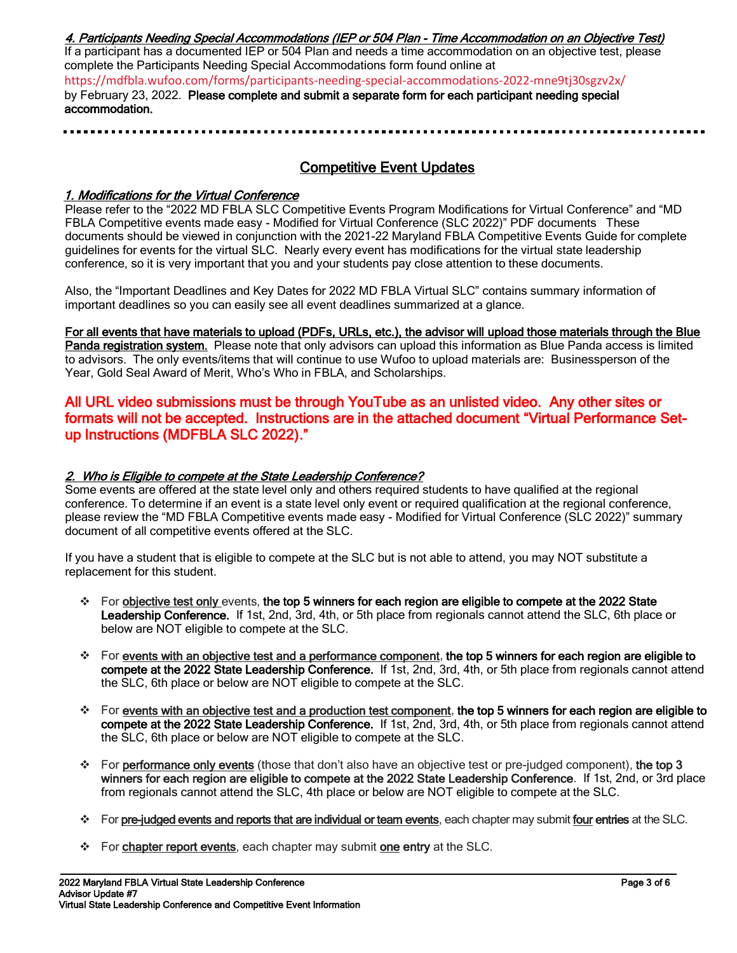#### 4. Participants Needing Special Accommodations (IEP or 504 Plan - Time Accommodation on an Objective Test)

If a participant has a documented IEP or 504 Plan and needs a time accommodation on an objective test, please complete the Participants Needing Special Accommodations form found online at

<https://mdfbla.wufoo.com/forms/participants-needing-special-accommodations-2022-mne9tj30sgzv2x/> by February 23, 2022. Please complete and submit a separate form for each participant needing special accommodation.

# Competitive Event Updates

### 1. Modifications for the Virtual Conference

Please refer to the "2022 MD FBLA SLC Competitive Events Program Modifications for Virtual Conference" and "MD FBLA Competitive events made easy - Modified for Virtual Conference (SLC 2022)" PDF documents These documents should be viewed in conjunction with the 2021-22 Maryland FBLA Competitive Events Guide for complete guidelines for events for the virtual SLC. Nearly every event has modifications for the virtual state leadership conference, so it is very important that you and your students pay close attention to these documents.

Also, the "Important Deadlines and Key Dates for 2022 MD FBLA Virtual SLC" contains summary information of important deadlines so you can easily see all event deadlines summarized at a glance.

For all events that have materials to upload (PDFs, URLs, etc.), the advisor will upload those materials through the Blue Panda registration system. Please note that only advisors can upload this information as Blue Panda access is limited to advisors. The only events/items that will continue to use Wufoo to upload materials are: Businessperson of the Year, Gold Seal Award of Merit, Who's Who in FBLA, and Scholarships.

## All URL video submissions must be through YouTube as an unlisted video. Any other sites or formats will not be accepted. Instructions are in the attached document "Virtual Performance Setup Instructions (MDFBLA SLC 2022)."

## 2. Who is Eligible to compete at the State Leadership Conference?

Some events are offered at the state level only and others required students to have qualified at the regional conference. To determine if an event is a state level only event or required qualification at the regional conference, please review the "MD FBLA Competitive events made easy - Modified for Virtual Conference (SLC 2022)" summary document of all competitive events offered at the SLC.

If you have a student that is eligible to compete at the SLC but is not able to attend, you may NOT substitute a replacement for this student.

- ❖ For objective test only events, the top 5 winners for each region are eligible to compete at the 2022 State Leadership Conference. If 1st, 2nd, 3rd, 4th, or 5th place from regionals cannot attend the SLC, 6th place or below are NOT eligible to compete at the SLC.
- $\div$  For events with an objective test and a performance component, the top 5 winners for each region are eligible to compete at the 2022 State Leadership Conference. If 1st, 2nd, 3rd, 4th, or 5th place from regionals cannot attend the SLC, 6th place or below are NOT eligible to compete at the SLC.
- $\div$  For events with an objective test and a production test component, the top 5 winners for each region are eligible to compete at the 2022 State Leadership Conference. If 1st, 2nd, 3rd, 4th, or 5th place from regionals cannot attend the SLC, 6th place or below are NOT eligible to compete at the SLC.
- ❖ For performance only events (those that don't also have an objective test or pre-judged component), the top 3 winners for each region are eligible to compete at the 2022 State Leadership Conference. If 1st, 2nd, or 3rd place from regionals cannot attend the SLC, 4th place or below are NOT eligible to compete at the SLC.
- ❖ For pre-judged events and reports that are individual or team events, each chapter may submit four entries at the SLC.
- ❖ For **chapter report events**, each chapter may submit **one entry** at the SLC.

 $\ddot{\phantom{0}}$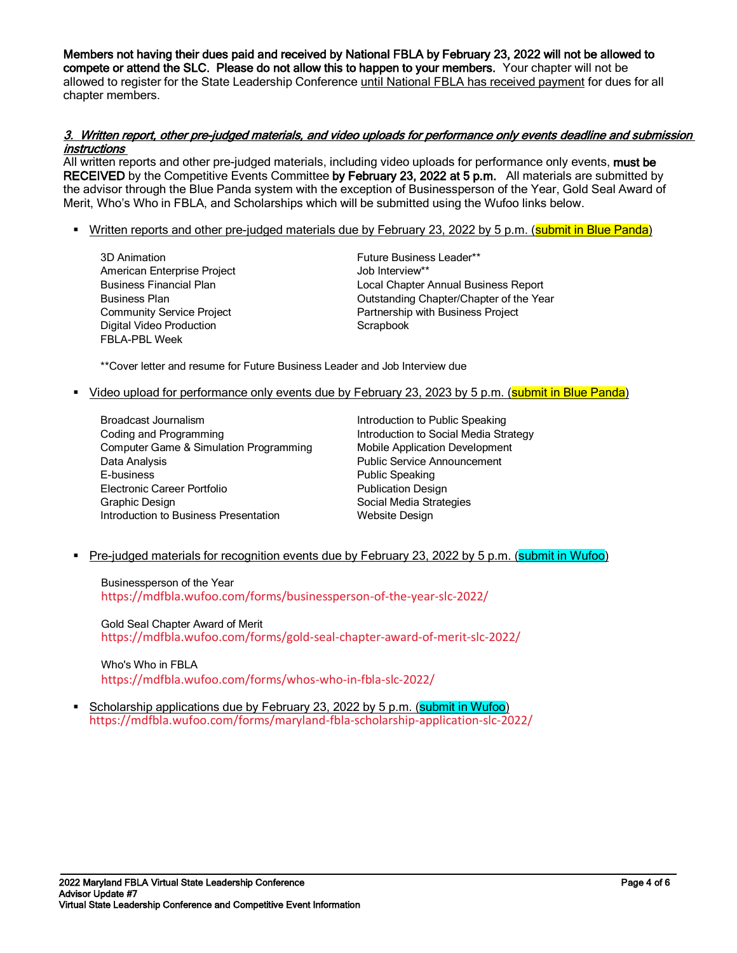Members not having their dues paid and received by National FBLA by February 23, 2022 will not be allowed to compete or attend the SLC. Please do not allow this to happen to your members. Your chapter will not be allowed to register for the State Leadership Conference until National FBLA has received payment for dues for all chapter members.

#### 3. Written report, other pre-judged materials, and video uploads for performance only events deadline and submission instructions

All written reports and other pre-judged materials, including video uploads for performance only events, must be RECEIVED by the Competitive Events Committee by February 23, 2022 at 5 p.m. All materials are submitted by the advisor through the Blue Panda system with the exception of Businessperson of the Year, Gold Seal Award of Merit, Who's Who in FBLA, and Scholarships which will be submitted using the Wufoo links below.

- **EXTED 10** Written reports and other pre-judged materials due by February 23, 2022 by 5 p.m. (submit in Blue Panda)
	- 3D Animation American Enterprise Project Business Financial Plan Business Plan Community Service Project Digital Video Production FBLA-PBL Week

Future Business Leader\*\* Job Interview\*\* Local Chapter Annual Business Report Outstanding Chapter/Chapter of the Year Partnership with Business Project **Scrapbook** 

\*\*Cover letter and resume for Future Business Leader and Job Interview due

**EXTED** Video upload for performance only events due by February 23, 2023 by 5 p.m. (submit in Blue Panda)

Broadcast Journalism Coding and Programming Computer Game & Simulation Programming Data Analysis E-business Electronic Career Portfolio Graphic Design Introduction to Business Presentation

Introduction to Public Speaking Introduction to Social Media Strategy Mobile Application Development Public Service Announcement Public Speaking Publication Design Social Media Strategies Website Design

**• Pre-judged materials for recognition events due by February 23, 2022 by 5 p.m. (submit in Wufoo)** 

Businessperson of the Year <https://mdfbla.wufoo.com/forms/businessperson-of-the-year-slc-2022/>

Gold Seal Chapter Award of Merit <https://mdfbla.wufoo.com/forms/gold-seal-chapter-award-of-merit-slc-2022/>

Who's Who in FBLA <https://mdfbla.wufoo.com/forms/whos-who-in-fbla-slc-2022/>

• Scholarship applications due by February 23, 2022 by 5 p.m. (submit in Wufoo) <https://mdfbla.wufoo.com/forms/maryland-fbla-scholarship-application-slc-2022/>

 $\ddot{\phantom{0}}$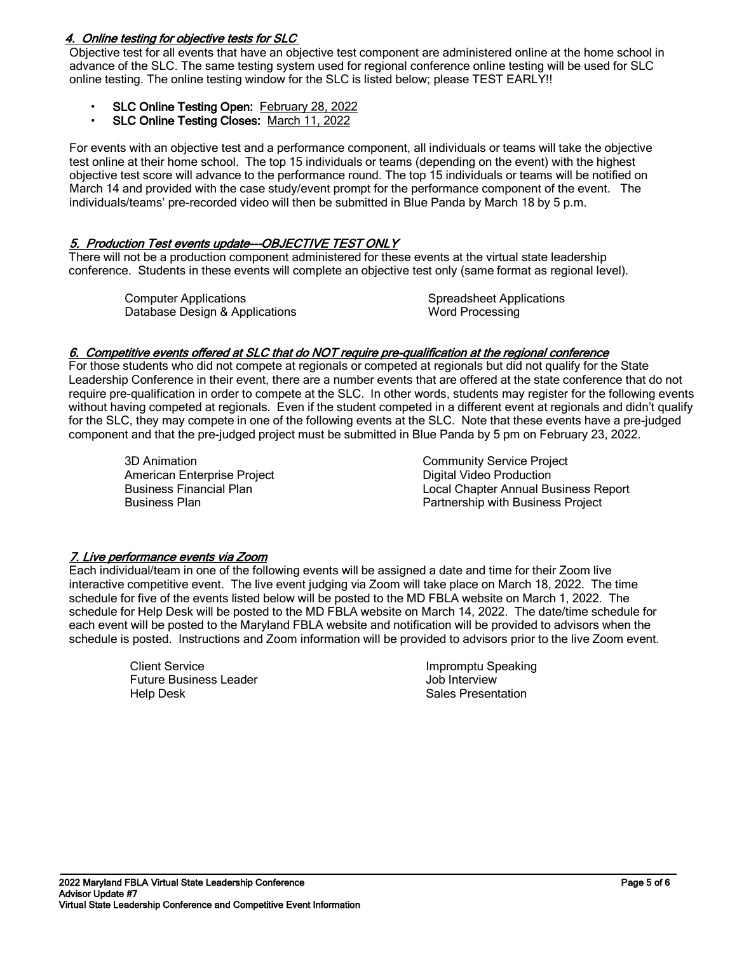## 4. Online testing for objective tests for SLC

Objective test for all events that have an objective test component are administered online at the home school in advance of the SLC. The same testing system used for regional conference online testing will be used for SLC online testing. The online testing window for the SLC is listed below; please TEST EARLY!!

- SLC Online Testing Open: February 28, 2022
- SLC Online Testing Closes: March 11, 2022

For events with an objective test and a performance component, all individuals or teams will take the objective test online at their home school. The top 15 individuals or teams (depending on the event) with the highest objective test score will advance to the performance round. The top 15 individuals or teams will be notified on March 14 and provided with the case study/event prompt for the performance component of the event. The individuals/teams' pre-recorded video will then be submitted in Blue Panda by March 18 by 5 p.m.

## 5. Production Test events update---OBJECTIVE TEST ONLY

There will not be a production component administered for these events at the virtual state leadership conference. Students in these events will complete an objective test only (same format as regional level).

Computer Applications Database Design & Applications

Spreadsheet Applications Word Processing

### 6. Competitive events offered at SLC that do NOT require pre-qualification at the regional conference

For those students who did not compete at regionals or competed at regionals but did not qualify for the State Leadership Conference in their event, there are a number events that are offered at the state conference that do not require pre-qualification in order to compete at the SLC. In other words, students may register for the following events without having competed at regionals. Even if the student competed in a different event at regionals and didn't qualify for the SLC, they may compete in one of the following events at the SLC. Note that these events have a pre-judged component and that the pre-judged project must be submitted in Blue Panda by 5 pm on February 23, 2022.

3D Animation American Enterprise Project Business Financial Plan Business Plan

Community Service Project Digital Video Production Local Chapter Annual Business Report Partnership with Business Project

### 7. Live performance events via Zoom

Each individual/team in one of the following events will be assigned a date and time for their Zoom live interactive competitive event. The live event judging via Zoom will take place on March 18, 2022. The time schedule for five of the events listed below will be posted to the MD FBLA website on March 1, 2022. The schedule for Help Desk will be posted to the MD FBLA website on March 14, 2022. The date/time schedule for each event will be posted to the Maryland FBLA website and notification will be provided to advisors when the schedule is posted. Instructions and Zoom information will be provided to advisors prior to the live Zoom event.

> Client Service Future Business Leader Help Desk

Impromptu Speaking Job Interview Sales Presentation

 $\ddot{\phantom{0}}$